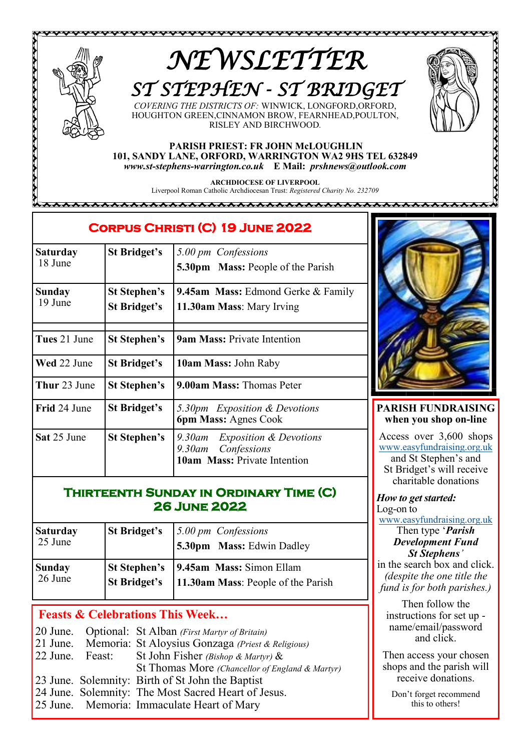

# *NEWSLETTER ST STEPHEN - ST BRIDGET*

*COVERING THE DISTRICTS OF:* WINWICK, LONGFORD,ORFORD, HOUGHTON GREEN,CINNAMON BROW, FEARNHEAD,POULTON, RISLEY AND BIRCHWOOD*.*

#### **PARISH PRIEST: FR JOHN McLOUGHLIN 101, SANDY LANE, ORFORD, WARRINGTON WA2 9HS TEL 632849** *www.st-stephens-warrington.co.uk* **E Mail:** *prshnews@outlook.com*

**ARCHDIOCESE OF LIVERPOOL** Liverpool Roman Catholic Archdiocesan Trust: *Registered Charity No. 232709*

888888888888888888888888888888888 \*\*\*\*\*\*

## **Corpus Christi (C) 19 June 2022**

| <b>Saturday</b><br>18 June | <b>St Bridget's</b>                        | 5.00 pm Confessions<br>5.30pm Mass: People of the Parish                                                 |
|----------------------------|--------------------------------------------|----------------------------------------------------------------------------------------------------------|
| Sunday<br>19 June          | <b>St Stephen's</b><br><b>St Bridget's</b> | <b>9.45am Mass:</b> Edmond Gerke & Family<br>11.30am Mass: Mary Irving                                   |
| Tues 21 June               | <b>St Stephen's</b>                        | <b>9am Mass: Private Intention</b>                                                                       |
| Wed 22 June                | <b>St Bridget's</b>                        | 10am Mass: John Raby                                                                                     |
| Thur 23 June               | <b>St Stephen's</b>                        | 9.00am Mass: Thomas Peter                                                                                |
| Frid 24 June               | <b>St Bridget's</b>                        | 5.30pm Exposition & Devotions<br><b>6pm Mass: Agnes Cook</b>                                             |
| Sat 25 June                | St Stephen's                               | <i>Exposition &amp; Devotions</i><br>9.30am<br>9.30am Confessions<br><b>10am Mass: Private Intention</b> |

## **Thirteenth Sunday in Ordinary Time (C) 26 June 2022**

| <b>Saturday</b><br>25 June | <b>St Bridget's</b> | 5.00 pm Confessions<br>5.30pm Mass: Edwin Dadley |
|----------------------------|---------------------|--------------------------------------------------|
| <b>Sunday</b>              | <b>St Stephen's</b> | <b>9.45am Mass:</b> Simon Ellam                  |
| 26 June                    | <b>St Bridget's</b> | 11.30am Mass: People of the Parish               |

## **Feasts & Celebrations This Week…**

|  | 20 June. Optional: St Alban (First Martyr of Britain)      |
|--|------------------------------------------------------------|
|  | 21 June. Memoria: St Aloysius Gonzaga (Priest & Religious) |
|  | 22 June. Feast: St John Fisher (Bishop & Martyr) &         |
|  | St Thomas More (Chancellor of England & Martyr)            |
|  | 23 June. Solemnity: Birth of St John the Baptist           |
|  | 24 June. Solemnity: The Most Sacred Heart of Jesus.        |
|  | 25 June. Memoria: Immaculate Heart of Mary                 |



~~~~~~~~~~~~~~~~~~~~~

## **PARISH FUNDRAISING when you shop on-line**

Access over 3,600 shops [www.easyfundraising.org.uk](Https://www.easyfundraising.org.uk) and St Stephen's and St Bridget's will receive charitable donations

*How to get started:* Log-on to

[www.easyfundraising.org.uk](http://www.easyfundraising.org.uk)

### Then type '*Parish Development Fund St Stephens'*

in the search box and click. *(despite the one title the fund is for both parishes.)*

Then follow the instructions for set up name/email/password and click.

Then access your chosen shops and the parish will receive donations.

Don't forget recommend this to others!